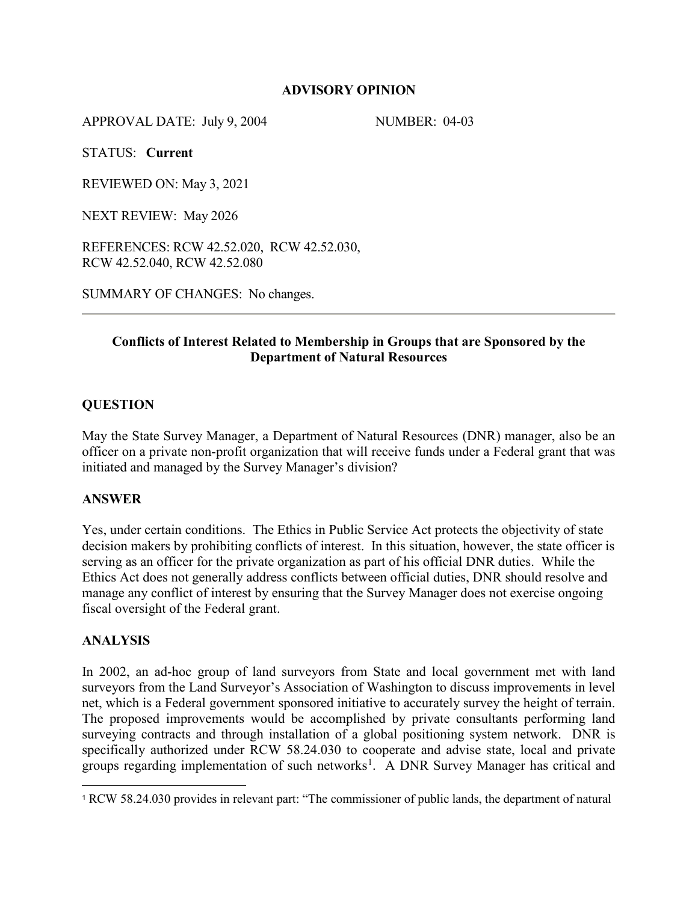### **ADVISORY OPINION**

APPROVAL DATE: July 9, 2004 NUMBER: 04-03

STATUS: **Current**

REVIEWED ON: May 3, 2021

NEXT REVIEW: May 2026

REFERENCES: RCW 42.52.020, RCW 42.52.030, RCW 42.52.040, RCW 42.52.080

SUMMARY OF CHANGES: No changes.

# **Conflicts of Interest Related to Membership in Groups that are Sponsored by the Department of Natural Resources**

## **QUESTION**

May the State Survey Manager, a Department of Natural Resources (DNR) manager, also be an officer on a private non-profit organization that will receive funds under a Federal grant that was initiated and managed by the Survey Manager's division?

### **ANSWER**

Yes, under certain conditions. The Ethics in Public Service Act protects the objectivity of state decision makers by prohibiting conflicts of interest. In this situation, however, the state officer is serving as an officer for the private organization as part of his official DNR duties. While the Ethics Act does not generally address conflicts between official duties, DNR should resolve and manage any conflict of interest by ensuring that the Survey Manager does not exercise ongoing fiscal oversight of the Federal grant.

### **ANALYSIS**

In 2002, an ad-hoc group of land surveyors from State and local government met with land surveyors from the Land Surveyor's Association of Washington to discuss improvements in level net, which is a Federal government sponsored initiative to accurately survey the height of terrain. The proposed improvements would be accomplished by private consultants performing land surveying contracts and through installation of a global positioning system network. DNR is specifically authorized under RCW 58.24.030 to cooperate and advise state, local and private groups regarding implementation of such networks<sup>[1](#page-0-0)</sup>. A DNR Survey Manager has critical and

<span id="page-0-0"></span> $\overline{a}$ <sup>1</sup> RCW 58.24.030 provides in relevant part: "The commissioner of public lands, the department of natural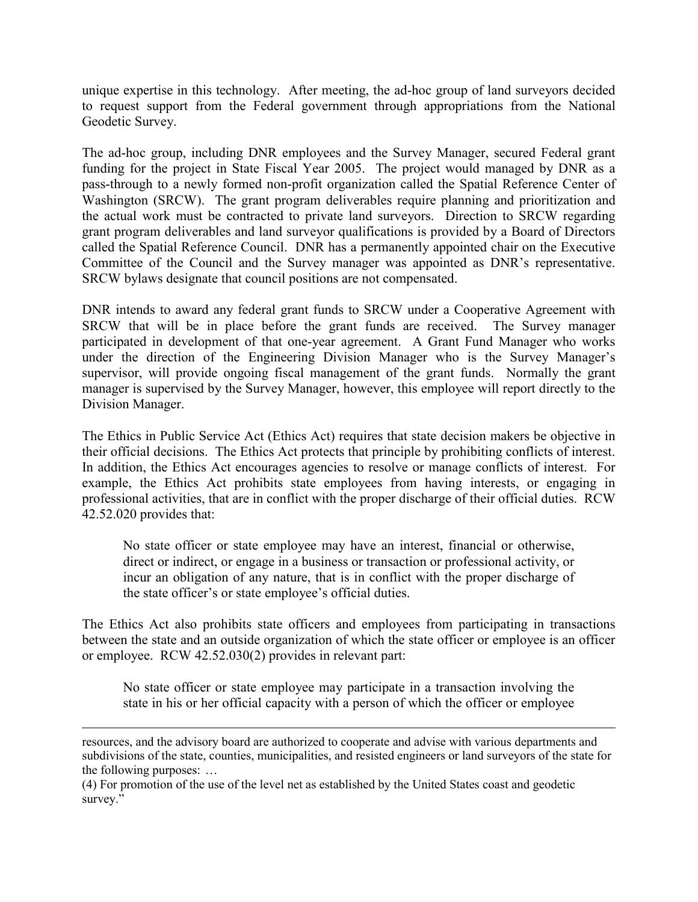unique expertise in this technology. After meeting, the ad-hoc group of land surveyors decided to request support from the Federal government through appropriations from the National Geodetic Survey.

The ad-hoc group, including DNR employees and the Survey Manager, secured Federal grant funding for the project in State Fiscal Year 2005. The project would managed by DNR as a pass-through to a newly formed non-profit organization called the Spatial Reference Center of Washington (SRCW). The grant program deliverables require planning and prioritization and the actual work must be contracted to private land surveyors. Direction to SRCW regarding grant program deliverables and land surveyor qualifications is provided by a Board of Directors called the Spatial Reference Council. DNR has a permanently appointed chair on the Executive Committee of the Council and the Survey manager was appointed as DNR's representative. SRCW bylaws designate that council positions are not compensated.

DNR intends to award any federal grant funds to SRCW under a Cooperative Agreement with SRCW that will be in place before the grant funds are received. The Survey manager participated in development of that one-year agreement. A Grant Fund Manager who works under the direction of the Engineering Division Manager who is the Survey Manager's supervisor, will provide ongoing fiscal management of the grant funds. Normally the grant manager is supervised by the Survey Manager, however, this employee will report directly to the Division Manager.

The Ethics in Public Service Act (Ethics Act) requires that state decision makers be objective in their official decisions. The Ethics Act protects that principle by prohibiting conflicts of interest. In addition, the Ethics Act encourages agencies to resolve or manage conflicts of interest. For example, the Ethics Act prohibits state employees from having interests, or engaging in professional activities, that are in conflict with the proper discharge of their official duties. RCW 42.52.020 provides that:

No state officer or state employee may have an interest, financial or otherwise, direct or indirect, or engage in a business or transaction or professional activity, or incur an obligation of any nature, that is in conflict with the proper discharge of the state officer's or state employee's official duties.

The Ethics Act also prohibits state officers and employees from participating in transactions between the state and an outside organization of which the state officer or employee is an officer or employee. RCW 42.52.030(2) provides in relevant part:

No state officer or state employee may participate in a transaction involving the state in his or her official capacity with a person of which the officer or employee

 $\overline{a}$ 

resources, and the advisory board are authorized to cooperate and advise with various departments and subdivisions of the state, counties, municipalities, and resisted engineers or land surveyors of the state for the following purposes: …

<sup>(4)</sup> For promotion of the use of the level net as established by the United States coast and geodetic survey."